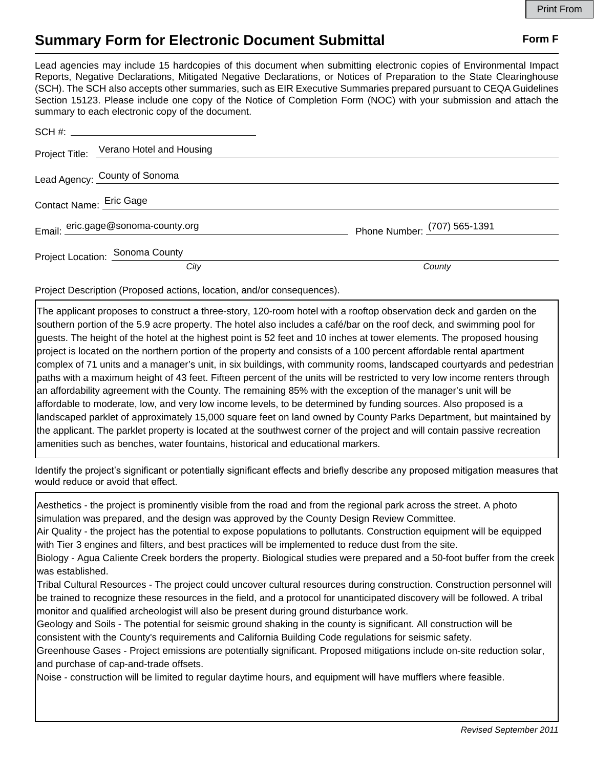## **Summary Form for Electronic Document Submittal Form F Form F**

Lead agencies may include 15 hardcopies of this document when submitting electronic copies of Environmental Impact Reports, Negative Declarations, Mitigated Negative Declarations, or Notices of Preparation to the State Clearinghouse (SCH). The SCH also accepts other summaries, such as EIR Executive Summaries prepared pursuant to CEQA Guidelines Section 15123. Please include one copy of the Notice of Completion Form (NOC) with your submission and attach the summary to each electronic copy of the document.

|                               | Project Title: Verano Hotel and Housing |                              |
|-------------------------------|-----------------------------------------|------------------------------|
| Lead Agency: County of Sonoma |                                         |                              |
| Contact Name: Eric Gage       |                                         |                              |
|                               | Email: eric.gage@sonoma-county.org      | Phone Number: (707) 565-1391 |
|                               | Project Location: Sonoma County         |                              |
|                               | City                                    | County                       |

Project Description (Proposed actions, location, and/or consequences).

The applicant proposes to construct a three-story, 120-room hotel with a rooftop observation deck and garden on the southern portion of the 5.9 acre property. The hotel also includes a café/bar on the roof deck, and swimming pool for guests. The height of the hotel at the highest point is 52 feet and 10 inches at tower elements. The proposed housing project is located on the northern portion of the property and consists of a 100 percent affordable rental apartment complex of 71 units and a manager's unit, in six buildings, with community rooms, landscaped courtyards and pedestrian paths with a maximum height of 43 feet. Fifteen percent of the units will be restricted to very low income renters through an affordability agreement with the County. The remaining 85% with the exception of the manager's unit will be affordable to moderate, low, and very low income levels, to be determined by funding sources. Also proposed is a landscaped parklet of approximately 15,000 square feet on land owned by County Parks Department, but maintained by the applicant. The parklet property is located at the southwest corner of the project and will contain passive recreation amenities such as benches, water fountains, historical and educational markers.

Identify the project's significant or potentially significant effects and briefly describe any proposed mitigation measures that would reduce or avoid that effect.

Aesthetics - the project is prominently visible from the road and from the regional park across the street. A photo simulation was prepared, and the design was approved by the County Design Review Committee.

Air Quality - the project has the potential to expose populations to pollutants. Construction equipment will be equipped with Tier 3 engines and filters, and best practices will be implemented to reduce dust from the site.

Biology - Agua Caliente Creek borders the property. Biological studies were prepared and a 50-foot buffer from the creek was established.

Tribal Cultural Resources - The project could uncover cultural resources during construction. Construction personnel will be trained to recognize these resources in the field, and a protocol for unanticipated discovery will be followed. A tribal monitor and qualified archeologist will also be present during ground disturbance work.

Geology and Soils - The potential for seismic ground shaking in the county is significant. All construction will be consistent with the County's requirements and California Building Code regulations for seismic safety.

Greenhouse Gases - Project emissions are potentially significant. Proposed mitigations include on-site reduction solar, and purchase of cap-and-trade offsets.

Noise - construction will be limited to regular daytime hours, and equipment will have mufflers where feasible.